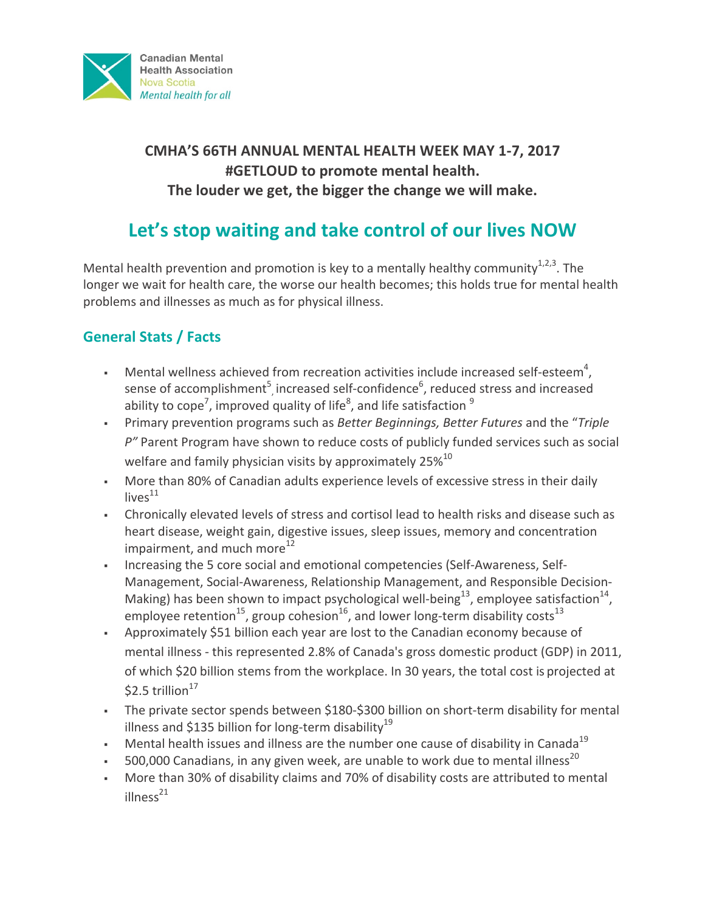

# **CMHA'S 66TH ANNUAL MENTAL HEALTH WEEK MAY 1-7, 2017** #GETLOUD to promote mental health. The louder we get, the bigger the change we will make.

# Let's stop waiting and take control of our lives NOW

Mental health prevention and promotion is key to a mentally healthy community<sup>1,2,3</sup>. The longer we wait for health care, the worse our health becomes; this holds true for mental health problems and illnesses as much as for physical illness.

# **General Stats / Facts**

- **•** Mental wellness achieved from recreation activities include increased self-esteem<sup>4</sup>, sense of accomplishment<sup>5</sup>, increased self-confidence<sup>6</sup>, reduced stress and increased ability to cope<sup>7</sup>, improved quality of life<sup>8</sup>, and life satisfaction  $^9$
- Primary prevention programs such as *Better Beginnings, Better Futures* and the "*Triple* P" Parent Program have shown to reduce costs of publicly funded services such as social welfare and family physician visits by approximately  $25\%^{10}$
- More than 80% of Canadian adults experience levels of excessive stress in their daily  $live<sup>11</sup>$
- Chronically elevated levels of stress and cortisol lead to health risks and disease such as heart disease, weight gain, digestive issues, sleep issues, memory and concentration impairment, and much more<sup>12</sup>
- Increasing the 5 core social and emotional competencies (Self-Awareness, Self-Management, Social-Awareness, Relationship Management, and Responsible Decision-Making) has been shown to impact psychological well-being<sup>13</sup>, employee satisfaction<sup>14</sup>, employee retention<sup>15</sup>, group cohesion<sup>16</sup>, and lower long-term disability costs<sup>13</sup>
- Approximately \$51 billion each year are lost to the Canadian economy because of mental illness - this represented 2.8% of Canada's gross domestic product (GDP) in 2011, of which \$20 billion stems from the workplace. In 30 years, the total cost is projected at  $$2.5$  trillion<sup>17</sup>
- The private sector spends between \$180-\$300 billion on short-term disability for mental illness and \$135 billion for long-term disability<sup>19</sup>
- Mental health issues and illness are the number one cause of disability in Canada<sup>19</sup>
- **•** 500,000 Canadians, in any given week, are unable to work due to mental illness<sup>20</sup>
- More than 30% of disability claims and 70% of disability costs are attributed to mental  $illness<sup>21</sup>$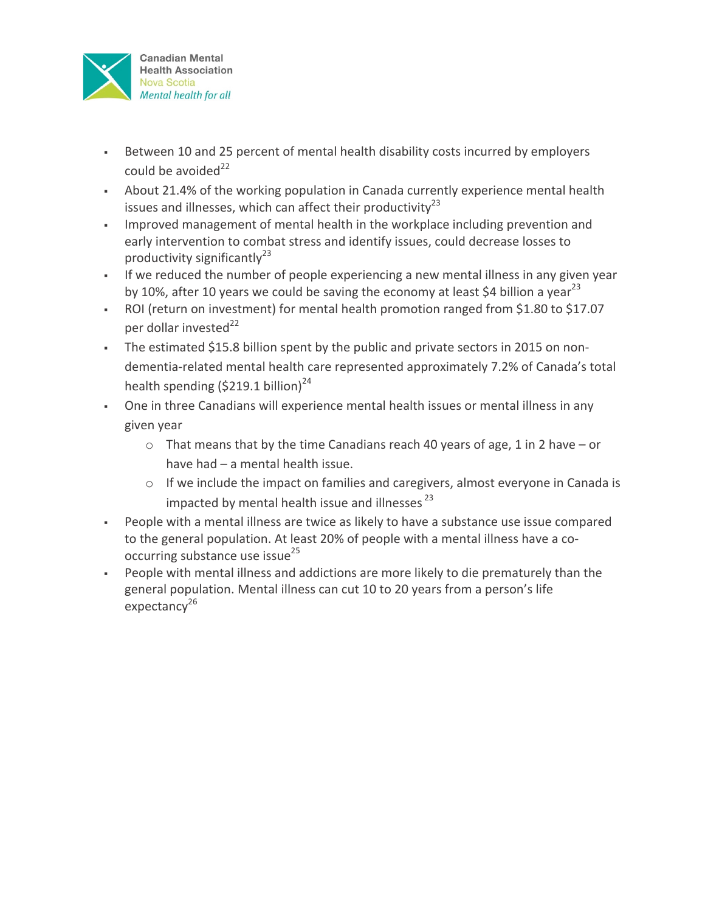

- Between 10 and 25 percent of mental health disability costs incurred by employers could be avoided $^{22}$
- About 21.4% of the working population in Canada currently experience mental health issues and illnesses, which can affect their productivity<sup>23</sup>
- Improved management of mental health in the workplace including prevention and early intervention to combat stress and identify issues, could decrease losses to productivity significantly<sup>23</sup>
- If we reduced the number of people experiencing a new mental illness in any given year by 10%, after 10 years we could be saving the economy at least \$4 billion a year<sup>23</sup>
- ROI (return on investment) for mental health promotion ranged from \$1.80 to \$17.07 per dollar invested $^{22}$
- The estimated \$15.8 billion spent by the public and private sectors in 2015 on nondementia-related mental health care represented approximately 7.2% of Canada's total health spending  $(5219.1$  billion)<sup>24</sup>
- One in three Canadians will experience mental health issues or mental illness in any given year
	- $\circ$  That means that by the time Canadians reach 40 years of age, 1 in 2 have or have had  $-$  a mental health issue.
	- $\circ$  If we include the impact on families and caregivers, almost everyone in Canada is impacted by mental health issue and illnesses  $^{23}$
- People with a mental illness are twice as likely to have a substance use issue compared to the general population. At least 20% of people with a mental illness have a cooccurring substance use issue<sup>25</sup>
- People with mental illness and addictions are more likely to die prematurely than the general population. Mental illness can cut 10 to 20 years from a person's life expectancy<sup>26</sup>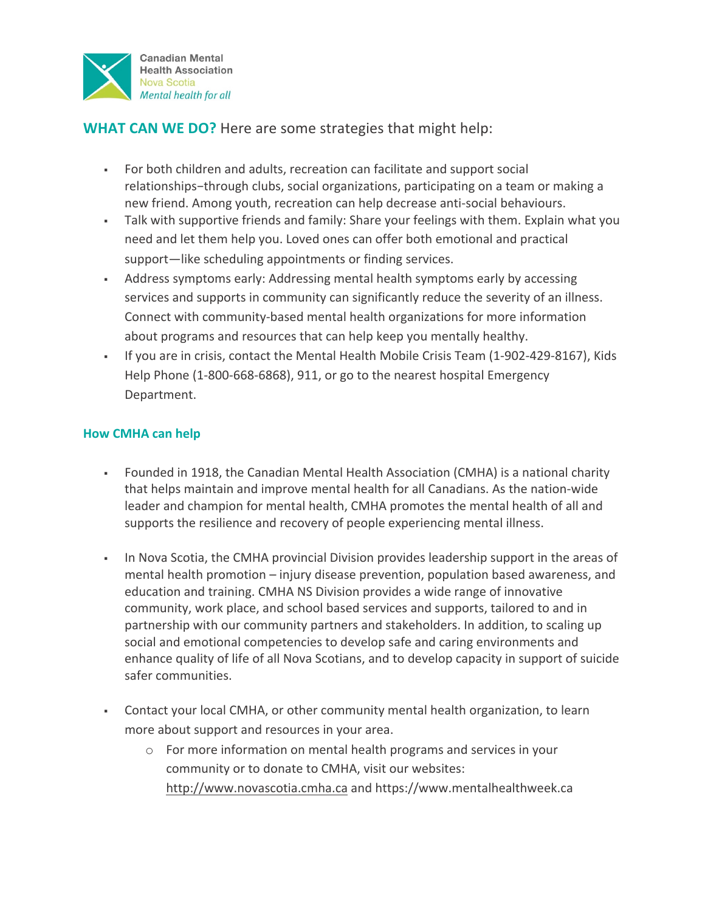

## **WHAT CAN WE DO?** Here are some strategies that might help:

- For both children and adults, recreation can facilitate and support social relationships-through clubs, social organizations, participating on a team or making a new friend. Among youth, recreation can help decrease anti-social behaviours.
- Talk with supportive friends and family: Share your feelings with them. Explain what you need and let them help you. Loved ones can offer both emotional and practical support—like scheduling appointments or finding services.
- Address symptoms early: Addressing mental health symptoms early by accessing services and supports in community can significantly reduce the severity of an illness. Connect with community-based mental health organizations for more information about programs and resources that can help keep you mentally healthy.
- If you are in crisis, contact the Mental Health Mobile Crisis Team (1-902-429-8167), Kids Help Phone (1-800-668-6868), 911, or go to the nearest hospital Emergency Department.

### **How CMHA can help**

- Founded in 1918, the Canadian Mental Health Association (CMHA) is a national charity that helps maintain and improve mental health for all Canadians. As the nation-wide leader and champion for mental health, CMHA promotes the mental health of all and supports the resilience and recovery of people experiencing mental illness.
- In Nova Scotia, the CMHA provincial Division provides leadership support in the areas of mental health promotion – injury disease prevention, population based awareness, and education and training. CMHA NS Division provides a wide range of innovative community, work place, and school based services and supports, tailored to and in partnership with our community partners and stakeholders. In addition, to scaling up social and emotional competencies to develop safe and caring environments and enhance quality of life of all Nova Scotians, and to develop capacity in support of suicide safer communities.
- Contact your local CMHA, or other community mental health organization, to learn more about support and resources in your area.
	- $\circ$  For more information on mental health programs and services in your community or to donate to CMHA, visit our websites: http://www.novascotia.cmha.ca and https://www.mentalhealthweek.ca